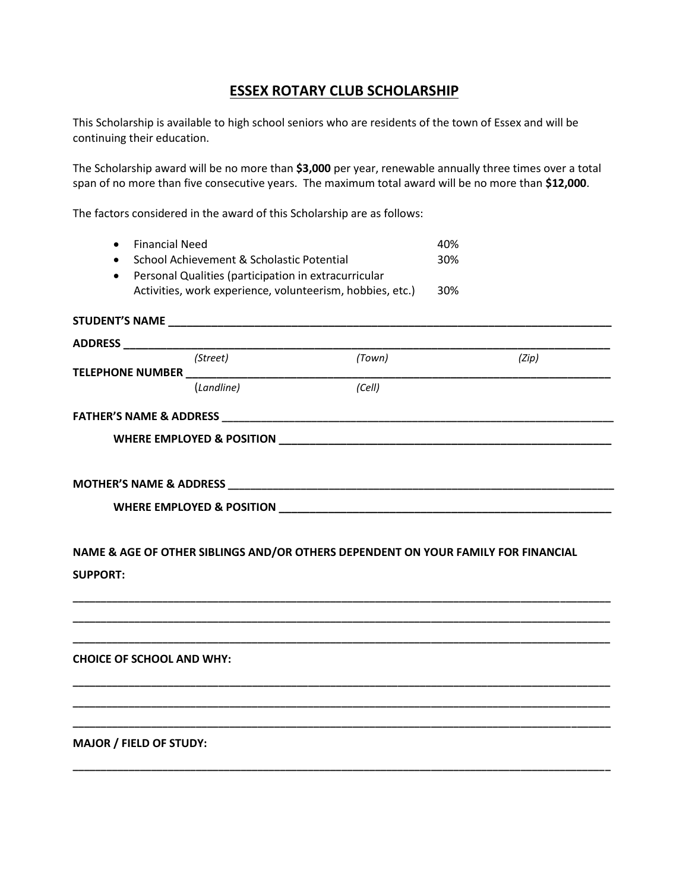## **ESSEX ROTARY CLUB SCHOLARSHIP**

This Scholarship is available to high school seniors who are residents of the town of Essex and will be continuing their education.

The Scholarship award will be no more than **\$3,000** per year, renewable annually three times over a total span of no more than five consecutive years. The maximum total award will be no more than **\$12,000**.

The factors considered in the award of this Scholarship are as follows:

| 30% |
|-----|
|     |
| 30% |
|     |

|                 | (Street)   | (Town)                                                                            | (Zip) |
|-----------------|------------|-----------------------------------------------------------------------------------|-------|
|                 |            |                                                                                   |       |
|                 | (Landline) | (Cell)                                                                            |       |
|                 |            |                                                                                   |       |
|                 |            |                                                                                   |       |
|                 |            |                                                                                   |       |
|                 |            |                                                                                   |       |
|                 |            |                                                                                   |       |
|                 |            |                                                                                   |       |
|                 |            |                                                                                   |       |
|                 |            | NAME & AGE OF OTHER SIBLINGS AND/OR OTHERS DEPENDENT ON YOUR FAMILY FOR FINANCIAL |       |
|                 |            |                                                                                   |       |
| <b>SUPPORT:</b> |            |                                                                                   |       |
|                 |            |                                                                                   |       |
|                 |            |                                                                                   |       |
|                 |            |                                                                                   |       |

**\_\_\_\_\_\_\_\_\_\_\_\_\_\_\_\_\_\_\_\_\_\_\_\_\_\_\_\_\_\_\_\_\_\_\_\_\_\_\_\_\_\_\_\_\_\_\_\_\_\_\_\_\_\_\_\_\_\_\_\_\_\_\_\_\_\_\_\_\_\_\_\_\_\_\_\_\_\_\_\_\_\_\_\_\_\_\_\_\_\_\_\_\_\_\_\_**

**\_\_\_\_\_\_\_\_\_\_\_\_\_\_\_\_\_\_\_\_\_\_\_\_\_\_\_\_\_\_\_\_\_\_\_\_\_\_\_\_\_\_\_\_\_\_\_\_\_\_\_\_\_\_\_\_\_\_\_\_\_\_\_\_\_\_\_\_\_\_\_\_\_\_\_\_\_\_\_\_\_\_\_\_\_\_\_\_\_\_\_\_\_\_\_\_ \_\_\_\_\_\_\_\_\_\_\_\_\_\_\_\_\_\_\_\_\_\_\_\_\_\_\_\_\_\_\_\_\_\_\_\_\_\_\_\_\_\_\_\_\_\_\_\_\_\_\_\_\_\_\_\_\_\_\_\_\_\_\_\_\_\_\_\_\_\_\_\_\_\_\_\_\_\_\_\_\_\_\_\_\_\_\_\_\_\_\_\_\_\_\_\_ \_\_\_\_\_\_\_\_\_\_\_\_\_\_\_\_\_\_\_\_\_\_\_\_\_\_\_\_\_\_\_\_\_\_\_\_\_\_\_\_\_\_\_\_\_\_\_\_\_\_\_\_\_\_\_\_\_\_\_\_\_\_\_\_\_\_\_\_\_\_\_\_\_\_\_\_\_\_\_\_\_\_\_\_\_\_\_\_\_\_\_\_\_\_\_\_**

**\_\_\_\_\_\_\_\_\_\_\_\_\_\_\_\_\_\_\_\_\_\_\_\_\_\_\_\_\_\_\_\_\_\_\_\_\_\_\_\_\_\_\_\_\_\_\_\_\_\_\_\_\_\_\_\_\_\_\_\_\_\_\_\_\_\_\_\_\_\_\_\_\_\_\_\_\_\_\_\_\_\_\_\_\_\_\_\_\_\_\_\_\_\_\_\_**

**CHOICE OF SCHOOL AND WHY:** 

**MAJOR / FIELD OF STUDY:**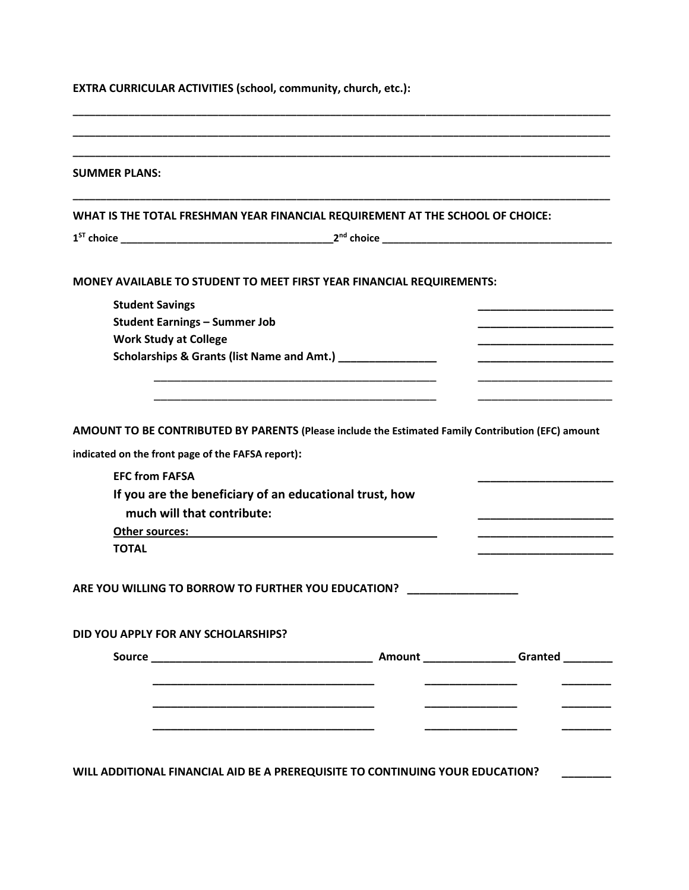| <b>SUMMER PLANS:</b>                                                                                     |                                                                                                                                                                                                                                                                                           |                       |
|----------------------------------------------------------------------------------------------------------|-------------------------------------------------------------------------------------------------------------------------------------------------------------------------------------------------------------------------------------------------------------------------------------------|-----------------------|
|                                                                                                          | WHAT IS THE TOTAL FRESHMAN YEAR FINANCIAL REQUIREMENT AT THE SCHOOL OF CHOICE:                                                                                                                                                                                                            |                       |
|                                                                                                          |                                                                                                                                                                                                                                                                                           |                       |
|                                                                                                          | MONEY AVAILABLE TO STUDENT TO MEET FIRST YEAR FINANCIAL REQUIREMENTS:                                                                                                                                                                                                                     |                       |
| <b>Student Savings</b>                                                                                   |                                                                                                                                                                                                                                                                                           |                       |
| <b>Student Earnings - Summer Job</b>                                                                     |                                                                                                                                                                                                                                                                                           |                       |
| <b>Work Study at College</b>                                                                             |                                                                                                                                                                                                                                                                                           | _____________________ |
|                                                                                                          | Scholarships & Grants (list Name and Amt.) ________________                                                                                                                                                                                                                               |                       |
|                                                                                                          |                                                                                                                                                                                                                                                                                           |                       |
|                                                                                                          | AMOUNT TO BE CONTRIBUTED BY PARENTS (Please include the Estimated Family Contribution (EFC) amount                                                                                                                                                                                        |                       |
| indicated on the front page of the FAFSA report):<br><b>EFC from FAFSA</b><br>much will that contribute: | If you are the beneficiary of an educational trust, how<br>Other sources: example and a series of the sources of the sources of the series of the series of the series of the series of the series of the series of the series of the series of the series of the series of the series of |                       |
| <b>TOTAL</b>                                                                                             | ARE YOU WILLING TO BORROW TO FURTHER YOU EDUCATION?                                                                                                                                                                                                                                       |                       |
| DID YOU APPLY FOR ANY SCHOLARSHIPS?                                                                      |                                                                                                                                                                                                                                                                                           |                       |
|                                                                                                          |                                                                                                                                                                                                                                                                                           |                       |
|                                                                                                          |                                                                                                                                                                                                                                                                                           |                       |
|                                                                                                          |                                                                                                                                                                                                                                                                                           |                       |
|                                                                                                          |                                                                                                                                                                                                                                                                                           |                       |
|                                                                                                          |                                                                                                                                                                                                                                                                                           |                       |